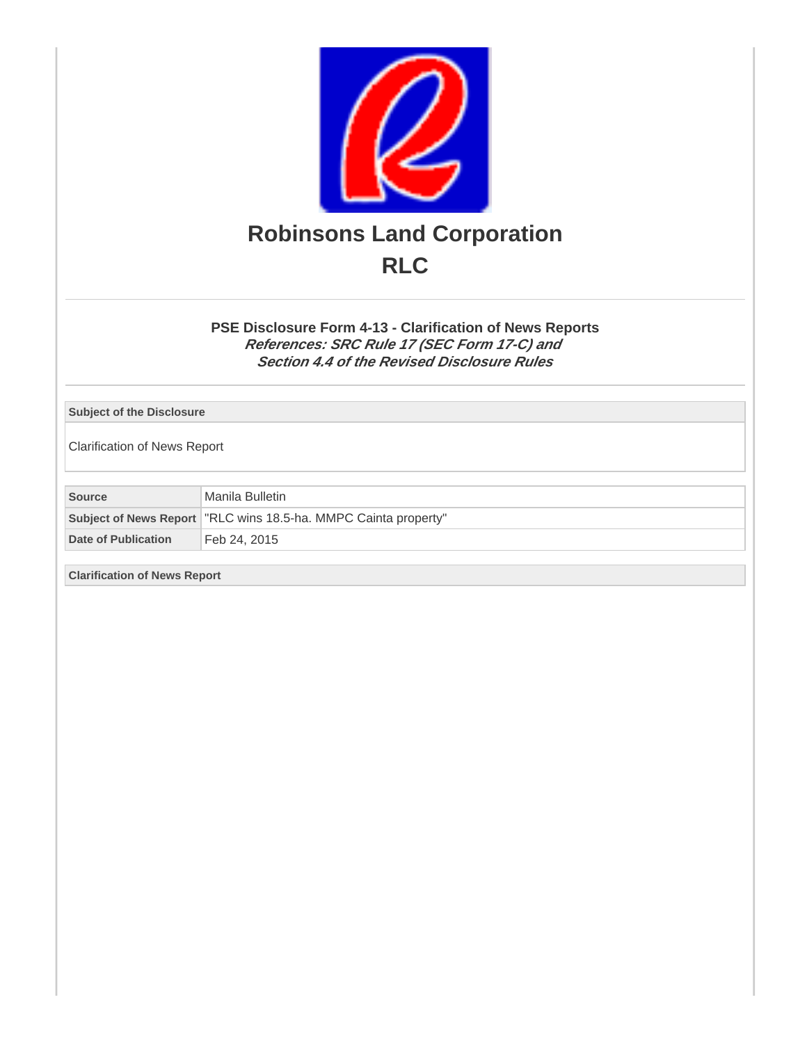

**PSE Disclosure Form 4-13 - Clarification of News Reports References: SRC Rule 17 (SEC Form 17-C) and Section 4.4 of the Revised Disclosure Rules**

**Subject of the Disclosure**

Clarification of News Report

**Source** Manila Bulletin

|                     | Subject of News Report   "RLC wins 18.5-ha. MMPC Cainta property" |
|---------------------|-------------------------------------------------------------------|
| Date of Publication | ੈ Feb 24. 2015                                                    |

**Clarification of News Report**